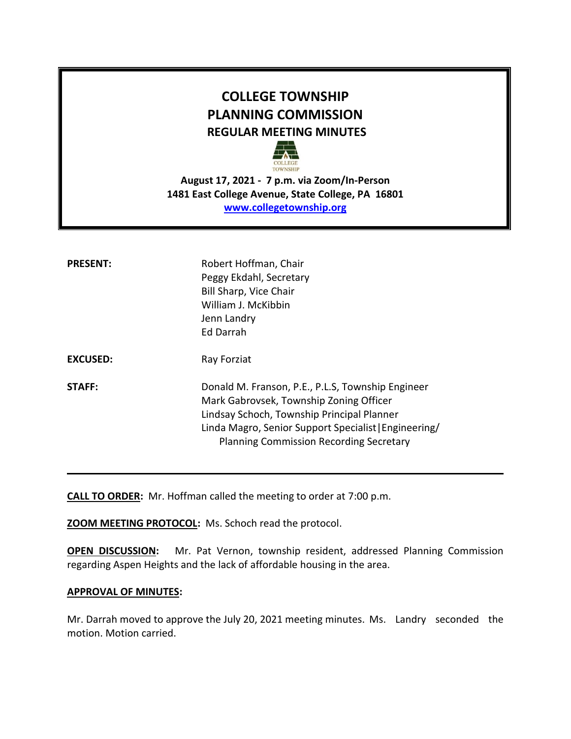# **COLLEGE TOWNSHIP PLANNING COMMISSION REGULAR MEETING MINUTES**



**August 17, 2021 - 7 p.m. via Zoom/In-Person 1481 East College Avenue, State College, PA 16801 [www.collegetownship.org](http://www.collegetownship.org/)**

| <b>PRESENT:</b> | Robert Hoffman, Chair<br>Peggy Ekdahl, Secretary<br>Bill Sharp, Vice Chair<br>William J. McKibbin<br>Jenn Landry<br>Ed Darrah                                                                                                                         |
|-----------------|-------------------------------------------------------------------------------------------------------------------------------------------------------------------------------------------------------------------------------------------------------|
| <b>EXCUSED:</b> | Ray Forziat                                                                                                                                                                                                                                           |
| STAFF:          | Donald M. Franson, P.E., P.L.S, Township Engineer<br>Mark Gabrovsek, Township Zoning Officer<br>Lindsay Schoch, Township Principal Planner<br>Linda Magro, Senior Support Specialist   Engineering/<br><b>Planning Commission Recording Secretary</b> |

**CALL TO ORDER:** Mr. Hoffman called the meeting to order at 7:00 p.m.

**ZOOM MEETING PROTOCOL:** Ms. Schoch read the protocol.

**OPEN DISCUSSION:** Mr. Pat Vernon, township resident, addressed Planning Commission regarding Aspen Heights and the lack of affordable housing in the area.

#### **APPROVAL OF MINUTES:**

Mr. Darrah moved to approve the July 20, 2021 meeting minutes. Ms. Landry seconded the motion. Motion carried.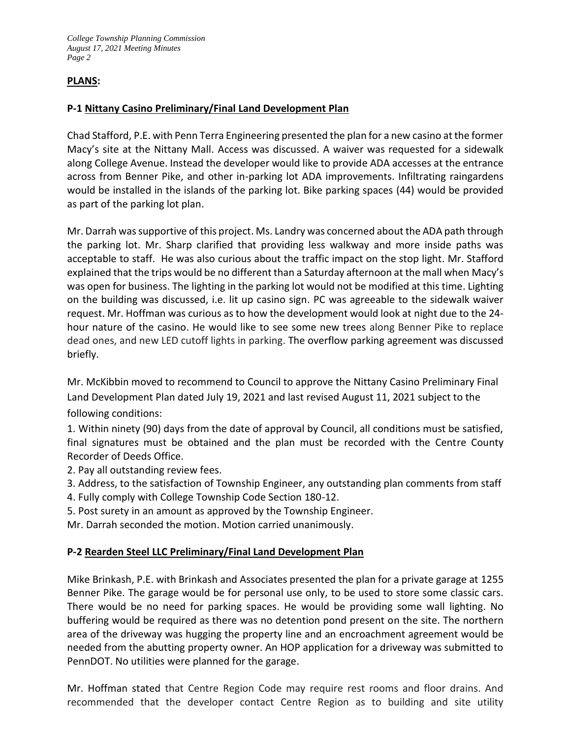*College Township Planning Commission August 17, 2021 Meeting Minutes Page 2*

# **PLANS:**

# **P-1 Nittany Casino Preliminary/Final Land Development Plan**

Chad Stafford, P.E. with Penn Terra Engineering presented the plan for a new casino at the former Macy's site at the Nittany Mall. Access was discussed. A waiver was requested for a sidewalk along College Avenue. Instead the developer would like to provide ADA accesses at the entrance across from Benner Pike, and other in-parking lot ADA improvements. Infiltrating raingardens would be installed in the islands of the parking lot. Bike parking spaces (44) would be provided as part of the parking lot plan.

Mr. Darrah was supportive of this project. Ms. Landry was concerned about the ADA path through the parking lot. Mr. Sharp clarified that providing less walkway and more inside paths was acceptable to staff. He was also curious about the traffic impact on the stop light. Mr. Stafford explained that the trips would be no different than a Saturday afternoon at the mall when Macy's was open for business. The lighting in the parking lot would not be modified at this time. Lighting on the building was discussed, i.e. lit up casino sign. PC was agreeable to the sidewalk waiver request. Mr. Hoffman was curious as to how the development would look at night due to the 24 hour nature of the casino. He would like to see some new trees along Benner Pike to replace dead ones, and new LED cutoff lights in parking. The overflow parking agreement was discussed briefly.

Mr. McKibbin moved to recommend to Council to approve the Nittany Casino Preliminary Final Land Development Plan dated July 19, 2021 and last revised August 11, 2021 subject to the following conditions:

1. Within ninety (90) days from the date of approval by Council, all conditions must be satisfied, final signatures must be obtained and the plan must be recorded with the Centre County Recorder of Deeds Office.

2. Pay all outstanding review fees.

- 3. Address, to the satisfaction of Township Engineer, any outstanding plan comments from staff
- 4. Fully comply with College Township Code Section 180-12.
- 5. Post surety in an amount as approved by the Township Engineer.

Mr. Darrah seconded the motion. Motion carried unanimously.

### **P-2 Rearden Steel LLC Preliminary/Final Land Development Plan**

Mike Brinkash, P.E. with Brinkash and Associates presented the plan for a private garage at 1255 Benner Pike. The garage would be for personal use only, to be used to store some classic cars. There would be no need for parking spaces. He would be providing some wall lighting. No buffering would be required as there was no detention pond present on the site. The northern area of the driveway was hugging the property line and an encroachment agreement would be needed from the abutting property owner. An HOP application for a driveway was submitted to PennDOT. No utilities were planned for the garage.

Mr. Hoffman stated that Centre Region Code may require rest rooms and floor drains. And recommended that the developer contact Centre Region as to building and site utility